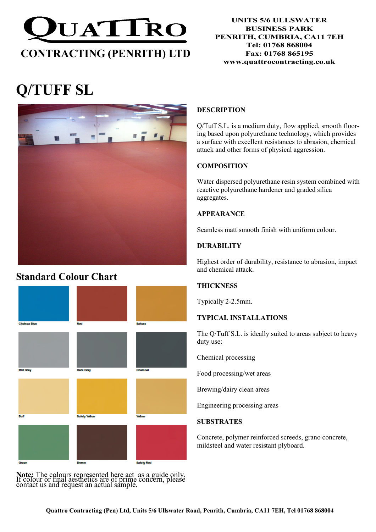

#### UNITS 5/6 ULLSWATER BUSINESS PARK PENRITH, CUMBRIA, CA11 7EH Tel: 01768 868004 Fax: 01768 865195 www.quattrocontracting.co.uk

# Q/TUFF SL



## Standard Colour Chart

# Chelsea Blue **Mid Grey** Dark Grov

Note: The colours represented here act as a guide only. If colour or final aesthetics are of prime concern, please contact us and request an actual sample.

#### DESCRIPTION

Q/Tuff S.L. is a medium duty, flow applied, smooth flooring based upon polyurethane technology, which provides a surface with excellent resistances to abrasion, chemical attack and other forms of physical aggression.

#### **COMPOSITION**

Water dispersed polyurethane resin system combined with reactive polyurethane hardener and graded silica aggregates.

#### APPEARANCE

Seamless matt smooth finish with uniform colour.

#### **DURABILITY**

Highest order of durability, resistance to abrasion, impact and chemical attack.

#### **THICKNESS**

Typically 2-2.5mm.

#### TYPICAL INSTALLATIONS

The Q/Tuff S.L. is ideally suited to areas subject to heavy duty use:

Chemical processing

Food processing/wet areas

Brewing/dairy clean areas

Engineering processing areas

#### **SUBSTRATES**

Concrete, polymer reinforced screeds, grano concrete, mildsteel and water resistant plyboard.